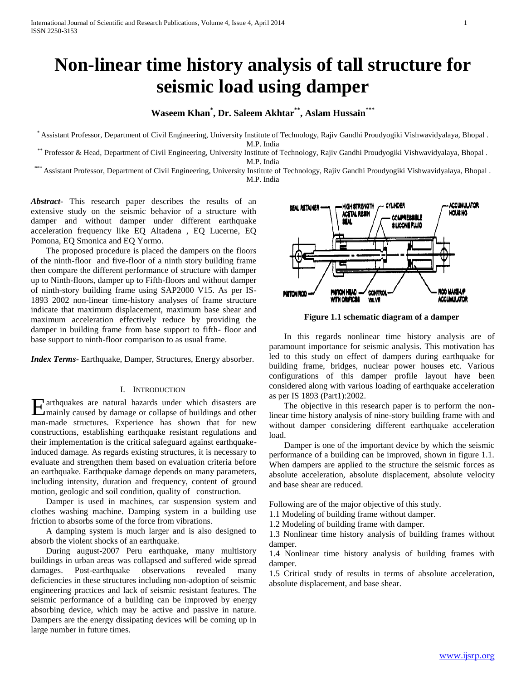# **Non-linear time history analysis of tall structure for seismic load using damper**

# **Waseem Khan\* , Dr. Saleem Akhtar\*\*, Aslam Hussain\*\*\***

\* Assistant Professor, Department of Civil Engineering, University Institute of Technology, Rajiv Gandhi Proudyogiki Vishwavidyalaya, Bhopal . M.P. India

\*\* Professor & Head, Department of Civil Engineering, University Institute of Technology, Rajiv Gandhi Proudyogiki Vishwavidyalaya, Bhopal . M.P. India

\*\*\* Assistant Professor, Department of Civil Engineering, University Institute of Technology, Rajiv Gandhi Proudyogiki Vishwavidyalaya, Bhopal . M.P. India

*Abstract***-** This research paper describes the results of an extensive study on the seismic behavior of a structure with damper and without damper under different earthquake acceleration frequency like EQ Altadena , EQ Lucerne, EQ Pomona, EQ Smonica and EQ Yormo.

 The proposed procedure is placed the dampers on the floors of the ninth-floor and five-floor of a ninth story building frame then compare the different performance of structure with damper up to Ninth-floors, damper up to Fifth-floors and without damper of ninth-story building frame using SAP2000 V15. As per IS-1893 2002 non-linear time-history analyses of frame structure indicate that maximum displacement, maximum base shear and maximum acceleration effectively reduce by providing the damper in building frame from base support to fifth- floor and base support to ninth-floor comparison to as usual frame.

*Index Terms*- Earthquake, Damper, Structures, Energy absorber.

## I. INTRODUCTION

arthquakes are natural hazards under which disasters are Earthquakes are natural hazards under which disasters are mainly caused by damage or collapse of buildings and other man-made structures. Experience has shown that for new constructions, establishing earthquake resistant regulations and their implementation is the critical safeguard against earthquakeinduced damage. As regards existing structures, it is necessary to evaluate and strengthen them based on evaluation criteria before an earthquake. Earthquake damage depends on many parameters, including intensity, duration and frequency, content of ground motion, geologic and soil condition, quality of construction.

 Damper is used in machines, car suspension system and clothes washing machine. Damping system in a building use friction to absorbs some of the force from vibrations.

 A damping system is much larger and is also designed to absorb the violent shocks of an earthquake.

 During august-2007 Peru earthquake, many multistory buildings in urban areas was collapsed and suffered wide spread damages. Post-earthquake observations revealed many deficiencies in these structures including non-adoption of seismic engineering practices and lack of seismic resistant features. The seismic performance of a building can be improved by energy absorbing device, which may be active and passive in nature. Dampers are the energy dissipating devices will be coming up in large number in future times.



**Figure 1.1 schematic diagram of a damper**

 In this regards nonlinear time history analysis are of paramount importance for seismic analysis. This motivation has led to this study on effect of dampers during earthquake for building frame, bridges, nuclear power houses etc. Various configurations of this damper profile layout have been considered along with various loading of earthquake acceleration as per IS 1893 (Part1):2002.

 The objective in this research paper is to perform the nonlinear time history analysis of nine-story building frame with and without damper considering different earthquake acceleration load.

 Damper is one of the important device by which the seismic performance of a building can be improved, shown in figure 1.1. When dampers are applied to the structure the seismic forces as absolute acceleration, absolute displacement, absolute velocity and base shear are reduced.

Following are of the major objective of this study.

1.1 Modeling of building frame without damper.

1.2 Modeling of building frame with damper.

1.3 Nonlinear time history analysis of building frames without damper.

1.4 Nonlinear time history analysis of building frames with damper.

1.5 Critical study of results in terms of absolute acceleration, absolute displacement, and base shear.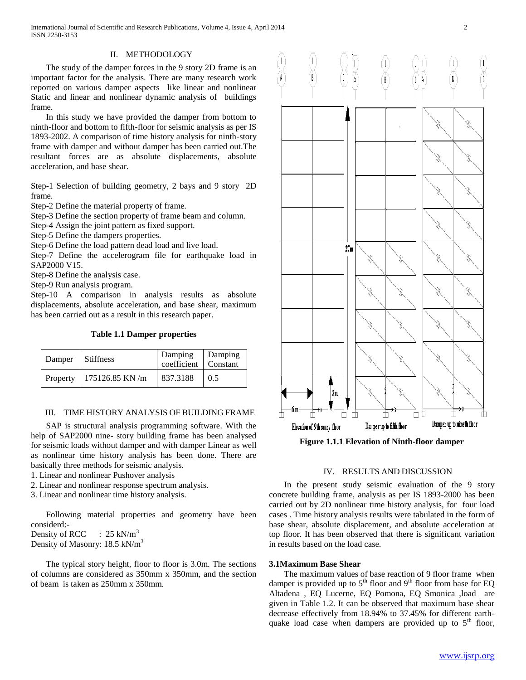International Journal of Scientific and Research Publications, Volume 4, Issue 4, April 2014 2 ISSN 2250-3153

#### II. METHODOLOGY

 The study of the damper forces in the 9 story 2D frame is an important factor for the analysis. There are many research work reported on various damper aspects like linear and nonlinear Static and linear and nonlinear dynamic analysis of buildings frame.

 In this study we have provided the damper from bottom to ninth-floor and bottom to fifth-floor for seismic analysis as per IS 1893-2002. A comparison of time history analysis for ninth-story frame with damper and without damper has been carried out.The resultant forces are as absolute displacements, absolute acceleration, and base shear.

Step-1 Selection of building geometry, 2 bays and 9 story 2D frame.

Step-2 Define the material property of frame.

Step-3 Define the section property of frame beam and column.

Step-4 Assign the joint pattern as fixed support.

Step-5 Define the dampers properties.

Step-6 Define the load pattern dead load and live load.

Step-7 Define the accelerogram file for earthquake load in SAP2000 V15.

Step-8 Define the analysis case.

Step-9 Run analysis program.

Step-10 A comparison in analysis results as absolute displacements, absolute acceleration, and base shear, maximum has been carried out as a result in this research paper.

**Table 1.1 Damper properties**

| Damper   | <b>Stiffness</b>  | Damping<br>coefficient   Constant | Damping |
|----------|-------------------|-----------------------------------|---------|
| Property | $175126.85$ KN /m | 837.3188                          | 0.5     |

#### III. TIME HISTORY ANALYSIS OF BUILDING FRAME

 SAP is structural analysis programming software. With the help of SAP2000 nine- story building frame has been analysed for seismic loads without damper and with damper Linear as well as nonlinear time history analysis has been done. There are basically three methods for seismic analysis.

1. Linear and nonlinear Pushover analysis

- 2. Linear and nonlinear response spectrum analysis.
- 3. Linear and nonlinear time history analysis.

 Following material properties and geometry have been considerd:- Density of RCC :  $25 \text{ kN/m}^3$ Density of Masonry: 18.5 kN/m<sup>3</sup>

 The typical story height, floor to floor is 3.0m. The sections of columns are considered as 350mm x 350mm, and the section of beam is taken as 250mm x 350mm.



**Figure 1.1.1 Elevation of Ninth-floor damper**

## IV. RESULTS AND DISCUSSION

 In the present study seismic evaluation of the 9 story concrete building frame, analysis as per IS 1893-2000 has been carried out by 2D nonlinear time history analysis, for four load cases . Time history analysis results were tabulated in the form of base shear, absolute displacement, and absolute acceleration at top floor. It has been observed that there is significant variation in results based on the load case.

#### **3.1Maximum Base Shear**

 The maximum values of base reaction of 9 floor frame when damper is provided up to  $5<sup>th</sup>$  floor and  $9<sup>th</sup>$  floor from base for EQ Altadena , EQ Lucerne, EQ Pomona, EQ Smonica ,load are given in Table 1.2. It can be observed that maximum base shear decrease effectively from 18.94% to 37.45% for different earthquake load case when dampers are provided up to  $5<sup>th</sup>$  floor,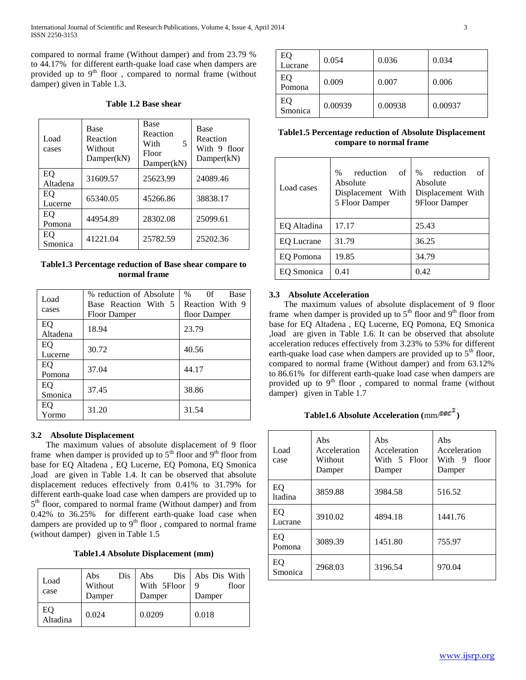compared to normal frame (Without damper) and from 23.79 % to 44.17% for different earth-quake load case when dampers are provided up to  $9<sup>th</sup>$  floor, compared to normal frame (without damper) given in Table 1.3.

## **Table 1.2 Base shear**

| Load<br>cases  | Base<br>Reaction<br>Without<br>Damper(kN) | Base<br>Reaction<br>With<br>5<br>Floor<br>Damper(kN) | <b>Base</b><br>Reaction<br>With 9 floor<br>Damper(kN) |
|----------------|-------------------------------------------|------------------------------------------------------|-------------------------------------------------------|
| EQ<br>Altadena | 31609.57                                  | 25623.99                                             | 24089.46                                              |
| EO<br>Lucerne  | 65340.05                                  | 45266.86                                             | 38838.17                                              |
| EQ<br>Pomona   | 44954.89                                  | 28302.08                                             | 25099.61                                              |
| EQ<br>Smonica  | 41221.04                                  | 25782.59                                             | 25202.36                                              |

**Table1.3 Percentage reduction of Base shear compare to normal frame**

| Load<br>cases  | % reduction of Absolute<br>Base Reaction With 5<br><b>Floor Damper</b> | 0 <sup>f</sup><br>$\%$<br><b>Base</b><br>Reaction With 9<br>floor Damper |
|----------------|------------------------------------------------------------------------|--------------------------------------------------------------------------|
| EQ<br>Altadena | 18.94                                                                  | 23.79                                                                    |
| EQ<br>Lucerne  | 30.72                                                                  | 40.56                                                                    |
| EQ<br>Pomona   | 37.04                                                                  | 44.17                                                                    |
| EQ<br>Smonica  | 37.45                                                                  | 38.86                                                                    |
| EQ<br>Yormo    | 31.20                                                                  | 31.54                                                                    |

## **3.2 Absolute Displacement**

 The maximum values of absolute displacement of 9 floor frame when damper is provided up to  $5<sup>th</sup>$  floor and  $9<sup>th</sup>$  floor from base for EQ Altadena , EQ Lucerne, EQ Pomona, EQ Smonica ,load are given in Table 1.4. It can be observed that absolute displacement reduces effectively from 0.41% to 31.79% for different earth-quake load case when dampers are provided up to 5<sup>th</sup> floor, compared to normal frame (Without damper) and from 0.42% to 36.25% for different earth-quake load case when dampers are provided up to  $9<sup>th</sup>$  floor, compared to normal frame (without damper) given in Table 1.5

| Load<br>case   | Abs<br>Dis<br>Without<br>Damper | Dis<br>Abs<br>With 5Floor<br>Damper | Abs Dis With<br>floor<br>Damper |
|----------------|---------------------------------|-------------------------------------|---------------------------------|
| EQ<br>Altadina | 0.024                           | 0.0209                              | 0.018                           |

| EQ<br>Lucrane | 0.054   | 0.036   | 0.034   |
|---------------|---------|---------|---------|
| EQ<br>Pomona  | 0.009   | 0.007   | 0.006   |
| EQ<br>Smonica | 0.00939 | 0.00938 | 0.00937 |

## **Table1.5 Percentage reduction of Absolute Displacement compare to normal frame**

| Load cases        | reduction<br>$\%$<br>of<br>Absolute<br>Displacement With<br>5 Floor Damper | reduction<br>of<br>$\%$<br>Absolute<br>Displacement With<br>9Floor Damper |
|-------------------|----------------------------------------------------------------------------|---------------------------------------------------------------------------|
| EQ Altadina       | 17.17                                                                      | 25.43                                                                     |
| <b>EQ Lucrane</b> | 31.79                                                                      | 36.25                                                                     |
| EO Pomona         | 19.85                                                                      | 34.79                                                                     |
| EO Smonica        | 0.41                                                                       | 0.42                                                                      |

## **3.3 Absolute Acceleration**

 The maximum values of absolute displacement of 9 floor frame when damper is provided up to  $5<sup>th</sup>$  floor and  $9<sup>th</sup>$  floor from base for EQ Altadena , EQ Lucerne, EQ Pomona, EQ Smonica ,load are given in Table 1.6. It can be observed that absolute acceleration reduces effectively from 3.23% to 53% for different earth-quake load case when dampers are provided up to  $5<sup>th</sup>$  floor, compared to normal frame (Without damper) and from 63.12% to 86.61% for different earth-quake load case when dampers are provided up to  $9<sup>th</sup>$  floor, compared to normal frame (without damper) given in Table 1.7

# **Table1.6 Absolute Acceleration (mm/** $sec^2$ **)**

| Load<br>case          | Abs<br>Acceleration<br>Without<br>Damper | Abs<br>Acceleration<br>With 5 Floor<br>Damper | Abs<br>Acceleration<br>With 9<br>floor<br>Damper |
|-----------------------|------------------------------------------|-----------------------------------------------|--------------------------------------------------|
| EO.<br><i>ltadina</i> | 3859.88                                  | 3984.58                                       | 516.52                                           |
| EQ<br>Lucrane         | 3910.02                                  | 4894.18                                       | 1441.76                                          |
| EQ<br>Pomona          | 3089.39                                  | 1451.80                                       | 755.97                                           |
| EQ<br>Smonica         | 2968.03                                  | 3196.54                                       | 970.04                                           |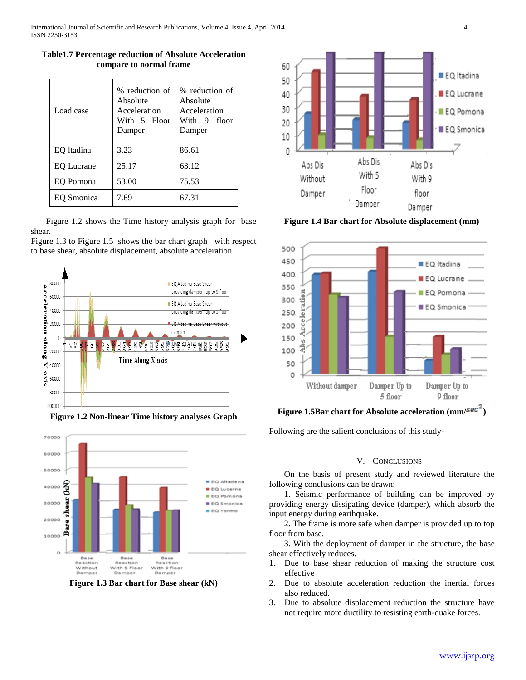| <b>Table1.7 Percentage reduction of Absolute Acceleration</b> |
|---------------------------------------------------------------|
| compare to normal frame                                       |

| Load case         | % reduction of<br>Absolute<br>Acceleration<br>With 5 Floor<br>Damper | % reduction of<br>Absolute<br>Acceleration<br>With 9 floor<br>Damper |
|-------------------|----------------------------------------------------------------------|----------------------------------------------------------------------|
| EQ Itadina        | 3.23                                                                 | 86.61                                                                |
| <b>EQ Lucrane</b> | 25.17                                                                | 63.12                                                                |
| EQ Pomona         | 53.00                                                                | 75.53                                                                |
| EO Smonica        | 7.69                                                                 | 67.31                                                                |

 Figure 1.2 shows the Time history analysis graph for base shear.

Figure 1.3 to Figure 1.5 shows the bar chart graph with respect to base shear, absolute displacement, absolute acceleration .



**Figure 1.2 Non-linear Time history analyses Graph**



**Figure 1.3 Bar chart for Base shear (kN)**



**Figure 1.4 Bar chart for Absolute displacement (mm)**



**Figure 1.5Bar chart for Absolute acceleration (mm/** $\frac{sec^2}{ }$ **)** 

Following are the salient conclusions of this study-

#### V. CONCLUSIONS

 On the basis of present study and reviewed literature the following conclusions can be drawn:

 1. Seismic performance of building can be improved by providing energy dissipating device (damper), which absorb the input energy during earthquake.

 2. The frame is more safe when damper is provided up to top floor from base.

 3. With the deployment of damper in the structure, the base shear effectively reduces.

- 1. Due to base shear reduction of making the structure cost effective
- 2. Due to absolute acceleration reduction the inertial forces also reduced.
- 3. Due to absolute displacement reduction the structure have not require more ductility to resisting earth-quake forces.